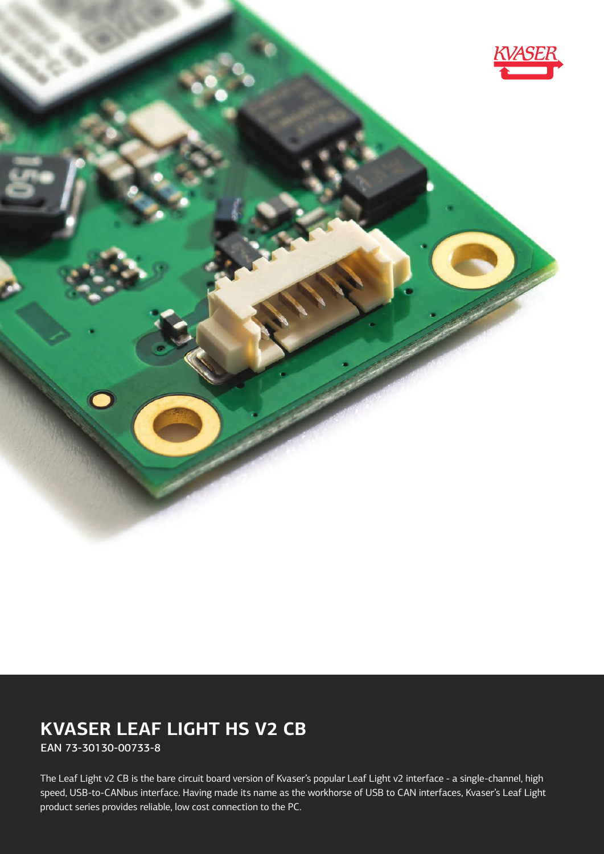

# **KVASER LEAF LIGHT HS V2 CB**

EAN 73-30130-00733-8

The Leaf Light v2 CB is the bare circuit board version of Kvaser's popular Leaf Light v2 interface - a single-channel, high speed, USB-to-CANbus interface. Having made its name as the workhorse of USB to CAN interfaces, Kvaser's Leaf Light product series provides reliable, low cost connection to the PC.